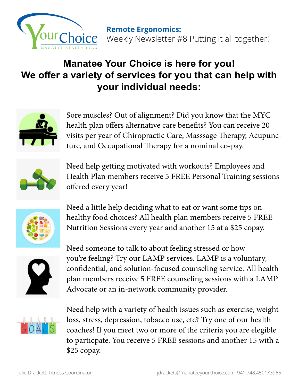

## **Manatee Your Choice is here for you! We offer a variety of services for you that can help with your individual needs:**



Sore muscles? Out of alignment? Did you know that the MYC health plan offers alternative care benefits? You can receive 20 visits per year of Chiropractic Care, Masssage Therapy, Acupuncture, and Occupational Therapy for a nominal co-pay.



Need help getting motivated with workouts? Employees and Health Plan members receive 5 FREE Personal Training sessions offered every year!



Need a little help deciding what to eat or want some tips on healthy food choices? All health plan members receive 5 FREE Nutrition Sessions every year and another 15 at a \$25 copay.



Need someone to talk to about feeling stressed or how you're feeling? Try our LAMP services. LAMP is a voluntary, confidential, and solution-focused counseling service. All health plan members receive 5 FREE counseling sessions with a LAMP Advocate or an in-network community provider.



Need help with a variety of health issues such as exercise, weight loss, stress, depression, tobacco use, etc? Try one of our health coaches! If you meet two or more of the criteria you are elegible to particpate. You receive 5 FREE sessions and another 15 with a \$25 copay.